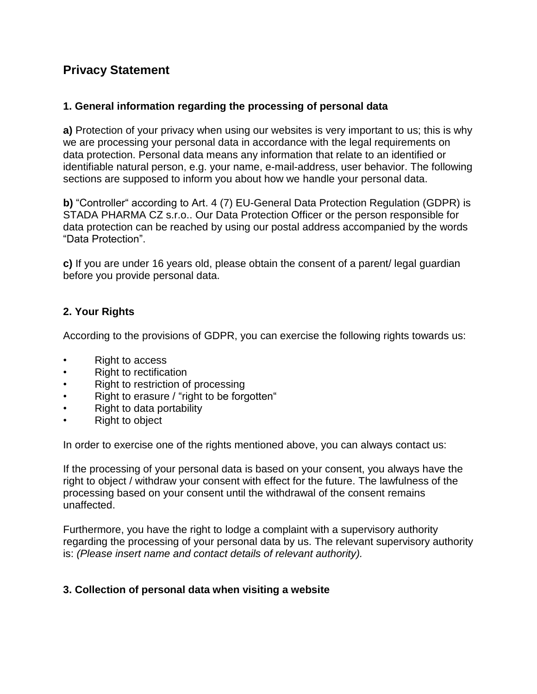# **Privacy Statement**

# **1. General information regarding the processing of personal data**

**a)** Protection of your privacy when using our websites is very important to us; this is why we are processing your personal data in accordance with the legal requirements on data protection. Personal data means any information that relate to an identified or identifiable natural person, e.g. your name, e-mail-address, user behavior. The following sections are supposed to inform you about how we handle your personal data.

**b)** "Controller" according to Art. 4 (7) EU-General Data Protection Regulation (GDPR) is STADA PHARMA CZ s.r.o.. Our Data Protection Officer or the person responsible for data protection can be reached by using our postal address accompanied by the words "Data Protection".

**c)** If you are under 16 years old, please obtain the consent of a parent/ legal guardian before you provide personal data.

### **2. Your Rights**

According to the provisions of GDPR, you can exercise the following rights towards us:

- Right to access
- Right to rectification
- Right to restriction of processing
- Right to erasure / "right to be forgotten"
- Right to data portability
- Right to object

In order to exercise one of the rights mentioned above, you can always contact us:

If the processing of your personal data is based on your consent, you always have the right to object / withdraw your consent with effect for the future. The lawfulness of the processing based on your consent until the withdrawal of the consent remains unaffected.

Furthermore, you have the right to lodge a complaint with a supervisory authority regarding the processing of your personal data by us. The relevant supervisory authority is: *(Please insert name and contact details of relevant authority).*

#### **3. Collection of personal data when visiting a website**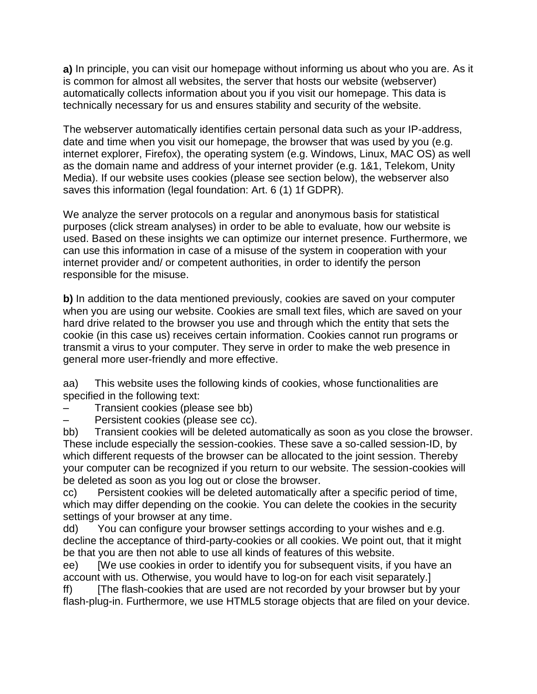**a)** In principle, you can visit our homepage without informing us about who you are. As it is common for almost all websites, the server that hosts our website (webserver) automatically collects information about you if you visit our homepage. This data is technically necessary for us and ensures stability and security of the website.

The webserver automatically identifies certain personal data such as your IP-address, date and time when you visit our homepage, the browser that was used by you (e.g. internet explorer, Firefox), the operating system (e.g. Windows, Linux, MAC OS) as well as the domain name and address of your internet provider (e.g. 1&1, Telekom, Unity Media). If our website uses cookies (please see section below), the webserver also saves this information (legal foundation: Art. 6 (1) 1f GDPR).

We analyze the server protocols on a regular and anonymous basis for statistical purposes (click stream analyses) in order to be able to evaluate, how our website is used. Based on these insights we can optimize our internet presence. Furthermore, we can use this information in case of a misuse of the system in cooperation with your internet provider and/ or competent authorities, in order to identify the person responsible for the misuse.

**b)** In addition to the data mentioned previously, cookies are saved on your computer when you are using our website. Cookies are small text files, which are saved on your hard drive related to the browser you use and through which the entity that sets the cookie (in this case us) receives certain information. Cookies cannot run programs or transmit a virus to your computer. They serve in order to make the web presence in general more user-friendly and more effective.

aa) This website uses the following kinds of cookies, whose functionalities are specified in the following text:

– Transient cookies (please see bb)

– Persistent cookies (please see cc).

bb) Transient cookies will be deleted automatically as soon as you close the browser. These include especially the session-cookies. These save a so-called session-ID, by which different requests of the browser can be allocated to the joint session. Thereby your computer can be recognized if you return to our website. The session-cookies will be deleted as soon as you log out or close the browser.

cc) Persistent cookies will be deleted automatically after a specific period of time, which may differ depending on the cookie. You can delete the cookies in the security settings of your browser at any time.

dd) You can configure your browser settings according to your wishes and e.g. decline the acceptance of third-party-cookies or all cookies. We point out, that it might be that you are then not able to use all kinds of features of this website.

ee) [We use cookies in order to identify you for subsequent visits, if you have an account with us. Otherwise, you would have to log-on for each visit separately.]

ff) [The flash-cookies that are used are not recorded by your browser but by your flash-plug-in. Furthermore, we use HTML5 storage objects that are filed on your device.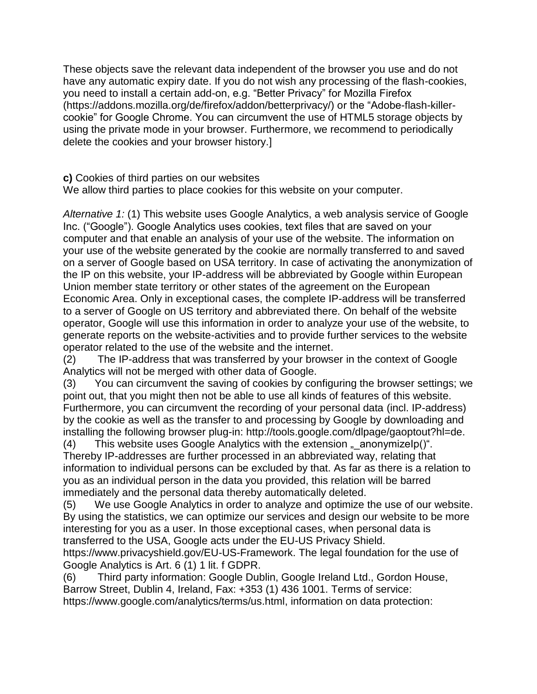These objects save the relevant data independent of the browser you use and do not have any automatic expiry date. If you do not wish any processing of the flash-cookies, you need to install a certain add-on, e.g. "Better Privacy" for Mozilla Firefox (https://addons.mozilla.org/de/firefox/addon/betterprivacy/) or the "Adobe-flash-killercookie" for Google Chrome. You can circumvent the use of HTML5 storage objects by using the private mode in your browser. Furthermore, we recommend to periodically delete the cookies and your browser history.]

**c)** Cookies of third parties on our websites

We allow third parties to place cookies for this website on your computer.

*Alternative 1:* (1) This website uses Google Analytics, a web analysis service of Google Inc. ("Google"). Google Analytics uses cookies, text files that are saved on your computer and that enable an analysis of your use of the website. The information on your use of the website generated by the cookie are normally transferred to and saved on a server of Google based on USA territory. In case of activating the anonymization of the IP on this website, your IP-address will be abbreviated by Google within European Union member state territory or other states of the agreement on the European Economic Area. Only in exceptional cases, the complete IP-address will be transferred to a server of Google on US territory and abbreviated there. On behalf of the website operator, Google will use this information in order to analyze your use of the website, to generate reports on the website-activities and to provide further services to the website operator related to the use of the website and the internet.

(2) The IP-address that was transferred by your browser in the context of Google Analytics will not be merged with other data of Google.

(3) You can circumvent the saving of cookies by configuring the browser settings; we point out, that you might then not be able to use all kinds of features of this website. Furthermore, you can circumvent the recording of your personal data (incl. IP-address) by the cookie as well as the transfer to and processing by Google by downloading and installing the following browser plug-in: http://tools.google.com/dlpage/gaoptout?hl=de.

(4) This website uses Google Analytics with the extension  $\mu$  anonymizelp()". Thereby IP-addresses are further processed in an abbreviated way, relating that information to individual persons can be excluded by that. As far as there is a relation to you as an individual person in the data you provided, this relation will be barred immediately and the personal data thereby automatically deleted.

(5) We use Google Analytics in order to analyze and optimize the use of our website. By using the statistics, we can optimize our services and design our website to be more interesting for you as a user. In those exceptional cases, when personal data is transferred to the USA, Google acts under the EU-US Privacy Shield.

https://www.privacyshield.gov/EU-US-Framework. The legal foundation for the use of Google Analytics is Art. 6 (1) 1 lit. f GDPR.

(6) Third party information: Google Dublin, Google Ireland Ltd., Gordon House, Barrow Street, Dublin 4, Ireland, Fax: +353 (1) 436 1001. Terms of service: https://www.google.com/analytics/terms/us.html, information on data protection: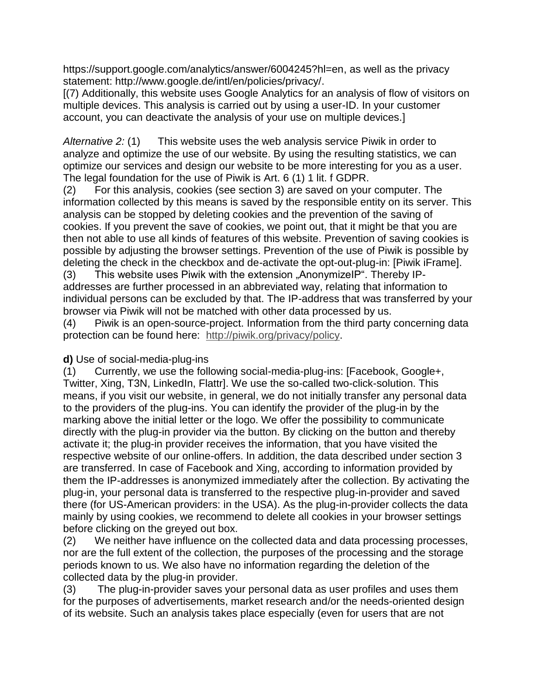https://support.google.com/analytics/answer/6004245?hl=en, as well as the privacy statement: http://www.google.de/intl/en/policies/privacy/.

[(7) Additionally, this website uses Google Analytics for an analysis of flow of visitors on multiple devices. This analysis is carried out by using a user-ID. In your customer account, you can deactivate the analysis of your use on multiple devices.]

*Alternative 2:* (1) This website uses the web analysis service Piwik in order to analyze and optimize the use of our website. By using the resulting statistics, we can optimize our services and design our website to be more interesting for you as a user. The legal foundation for the use of Piwik is Art. 6 (1) 1 lit. f GDPR.

(2) For this analysis, cookies (see section 3) are saved on your computer. The information collected by this means is saved by the responsible entity on its server. This analysis can be stopped by deleting cookies and the prevention of the saving of cookies. If you prevent the save of cookies, we point out, that it might be that you are then not able to use all kinds of features of this website. Prevention of saving cookies is possible by adjusting the browser settings. Prevention of the use of Piwik is possible by deleting the check in the checkbox and de-activate the opt-out-plug-in: [Piwik iFrame].

(3) This website uses Piwik with the extension "AnonymizelP". Thereby IPaddresses are further processed in an abbreviated way, relating that information to individual persons can be excluded by that. The IP-address that was transferred by your browser via Piwik will not be matched with other data processed by us.

(4) Piwik is an open-source-project. Information from the third party concerning data protection can be found here: [http://piwik.org/privacy/policy.](http://piwik.org/privacy/policy)

#### **d)** Use of social-media-plug-ins

(1) Currently, we use the following social-media-plug-ins: [Facebook, Google+, Twitter, Xing, T3N, LinkedIn, Flattr]. We use the so-called two-click-solution. This means, if you visit our website, in general, we do not initially transfer any personal data to the providers of the plug-ins. You can identify the provider of the plug-in by the marking above the initial letter or the logo. We offer the possibility to communicate directly with the plug-in provider via the button. By clicking on the button and thereby activate it; the plug-in provider receives the information, that you have visited the respective website of our online-offers. In addition, the data described under section 3 are transferred. In case of Facebook and Xing, according to information provided by them the IP-addresses is anonymized immediately after the collection. By activating the plug-in, your personal data is transferred to the respective plug-in-provider and saved there (for US-American providers: in the USA). As the plug-in-provider collects the data mainly by using cookies, we recommend to delete all cookies in your browser settings before clicking on the greyed out box.

(2) We neither have influence on the collected data and data processing processes, nor are the full extent of the collection, the purposes of the processing and the storage periods known to us. We also have no information regarding the deletion of the collected data by the plug-in provider.

(3) The plug-in-provider saves your personal data as user profiles and uses them for the purposes of advertisements, market research and/or the needs-oriented design of its website. Such an analysis takes place especially (even for users that are not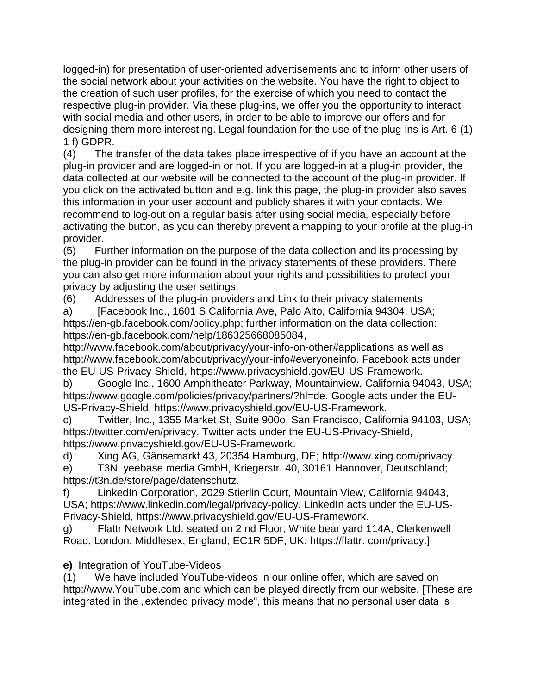logged-in) for presentation of user-oriented advertisements and to inform other users of the social network about your activities on the website. You have the right to object to the creation of such user profiles, for the exercise of which you need to contact the respective plug-in provider. Via these plug-ins, we offer you the opportunity to interact with social media and other users, in order to be able to improve our offers and for designing them more interesting. Legal foundation for the use of the plug-ins is Art. 6 (1) 1 f) GDPR.

(4) The transfer of the data takes place irrespective of if you have an account at the plug-in provider and are logged-in or not. If you are logged-in at a plug-in provider, the data collected at our website will be connected to the account of the plug-in provider. If you click on the activated button and e.g. link this page, the plug-in provider also saves this information in your user account and publicly shares it with your contacts. We recommend to log-out on a regular basis after using social media, especially before activating the button, as you can thereby prevent a mapping to your profile at the plug-in provider.

(5) Further information on the purpose of the data collection and its processing by the plug-in provider can be found in the privacy statements of these providers. There you can also get more information about your rights and possibilities to protect your privacy by adjusting the user settings.

(6) Addresses of the plug-in providers and Link to their privacy statements

a) [Facebook Inc., 1601 S California Ave, Palo Alto, California 94304, USA; https://en-gb.facebook.com/policy.php; further information on the data collection: https://en-gb.facebook.com/help/186325668085084,

http://www.facebook.com/about/privacy/your-info-on-other#applications as well as http://www.facebook.com/about/privacy/your-info#everyoneinfo. Facebook acts under the EU-US-Privacy-Shield, https://www.privacyshield.gov/EU-US-Framework.

b) Google Inc., 1600 Amphitheater Parkway, Mountainview, California 94043, USA; https://www.google.com/policies/privacy/partners/?hl=de. Google acts under the EU-US-Privacy-Shield, https://www.privacyshield.gov/EU-US-Framework.

c) Twitter, Inc., 1355 Market St, Suite 900o, San Francisco, California 94103, USA; https://twitter.com/en/privacy. Twitter acts under the EU-US-Privacy-Shield, https://www.privacyshield.gov/EU-US-Framework.

d) Xing AG, Gänsemarkt 43, 20354 Hamburg, DE; http://www.xing.com/privacy.

e) T3N, yeebase media GmbH, Kriegerstr. 40, 30161 Hannover, Deutschland; https://t3n.de/store/page/datenschutz.

f) LinkedIn Corporation, 2029 Stierlin Court, Mountain View, California 94043, USA; https://www.linkedin.com/legal/privacy-policy. LinkedIn acts under the EU-US-Privacy-Shield, https://www.privacyshield.gov/EU-US-Framework.

g) Flattr Network Ltd. seated on 2 nd Floor, White bear yard 114A, Clerkenwell Road, London, Middlesex, England, EC1R 5DF, UK; https://flattr. com/privacy.]

**e)** Integration of YouTube-Videos

(1) We have included YouTube-videos in our online offer, which are saved on http://www.YouTube.com and which can be played directly from our website. [These are integrated in the "extended privacy mode", this means that no personal user data is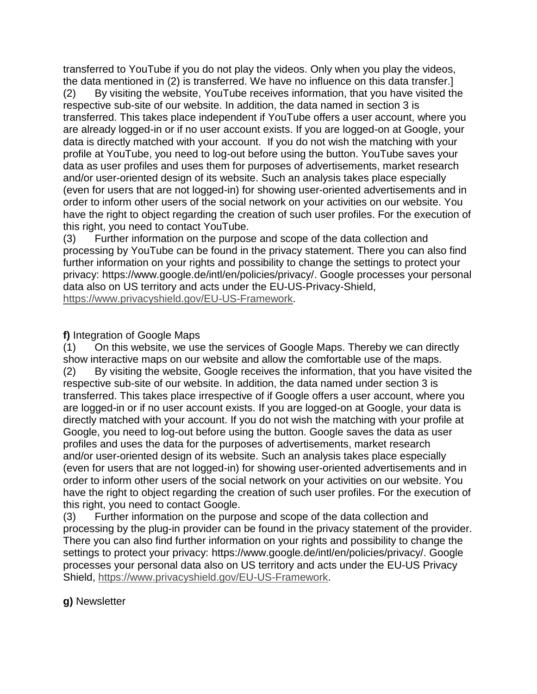transferred to YouTube if you do not play the videos. Only when you play the videos, the data mentioned in (2) is transferred. We have no influence on this data transfer.]

(2) By visiting the website, YouTube receives information, that you have visited the respective sub-site of our website. In addition, the data named in section 3 is transferred. This takes place independent if YouTube offers a user account, where you are already logged-in or if no user account exists. If you are logged-on at Google, your data is directly matched with your account. If you do not wish the matching with your profile at YouTube, you need to log-out before using the button. YouTube saves your data as user profiles and uses them for purposes of advertisements, market research and/or user-oriented design of its website. Such an analysis takes place especially (even for users that are not logged-in) for showing user-oriented advertisements and in order to inform other users of the social network on your activities on our website. You have the right to object regarding the creation of such user profiles. For the execution of this right, you need to contact YouTube.

(3) Further information on the purpose and scope of the data collection and processing by YouTube can be found in the privacy statement. There you can also find further information on your rights and possibility to change the settings to protect your privacy: https://www.google.de/intl/en/policies/privacy/. Google processes your personal data also on US territory and acts under the EU-US-Privacy-Shield, [https://www.privacyshield.gov/EU-US-Framework.](https://www.privacyshield.gov/EU-US-Framework)

# **f)** Integration of Google Maps

(1) On this website, we use the services of Google Maps. Thereby we can directly show interactive maps on our website and allow the comfortable use of the maps. (2) By visiting the website, Google receives the information, that you have visited the respective sub-site of our website. In addition, the data named under section 3 is transferred. This takes place irrespective of if Google offers a user account, where you are logged-in or if no user account exists. If you are logged-on at Google, your data is directly matched with your account. If you do not wish the matching with your profile at Google, you need to log-out before using the button. Google saves the data as user profiles and uses the data for the purposes of advertisements, market research and/or user-oriented design of its website. Such an analysis takes place especially (even for users that are not logged-in) for showing user-oriented advertisements and in order to inform other users of the social network on your activities on our website. You have the right to object regarding the creation of such user profiles. For the execution of this right, you need to contact Google.

(3) Further information on the purpose and scope of the data collection and processing by the plug-in provider can be found in the privacy statement of the provider. There you can also find further information on your rights and possibility to change the settings to protect your privacy: https://www.google.de/intl/en/policies/privacy/. Google processes your personal data also on US territory and acts under the EU-US Privacy Shield, [https://www.privacyshield.gov/EU-US-Framework.](https://www.privacyshield.gov/EU-US-Framework)

# **g)** Newsletter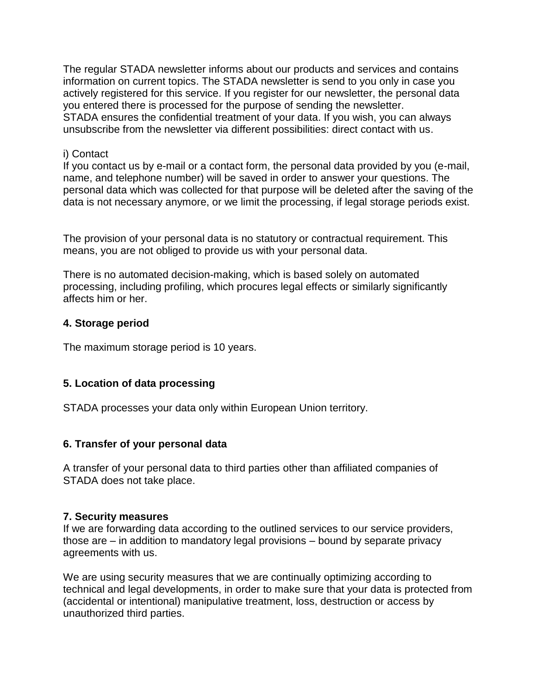The regular STADA newsletter informs about our products and services and contains information on current topics. The STADA newsletter is send to you only in case you actively registered for this service. If you register for our newsletter, the personal data you entered there is processed for the purpose of sending the newsletter. STADA ensures the confidential treatment of your data. If you wish, you can always unsubscribe from the newsletter via different possibilities: direct contact with us.

#### i) Contact

If you contact us by e-mail or a contact form, the personal data provided by you (e-mail, name, and telephone number) will be saved in order to answer your questions. The personal data which was collected for that purpose will be deleted after the saving of the data is not necessary anymore, or we limit the processing, if legal storage periods exist.

The provision of your personal data is no statutory or contractual requirement. This means, you are not obliged to provide us with your personal data.

There is no automated decision-making, which is based solely on automated processing, including profiling, which procures legal effects or similarly significantly affects him or her.

# **4. Storage period**

The maximum storage period is 10 years.

# **5. Location of data processing**

STADA processes your data only within European Union territory.

# **6. Transfer of your personal data**

A transfer of your personal data to third parties other than affiliated companies of STADA does not take place.

# **7. Security measures**

If we are forwarding data according to the outlined services to our service providers, those are – in addition to mandatory legal provisions – bound by separate privacy agreements with us.

We are using security measures that we are continually optimizing according to technical and legal developments, in order to make sure that your data is protected from (accidental or intentional) manipulative treatment, loss, destruction or access by unauthorized third parties.